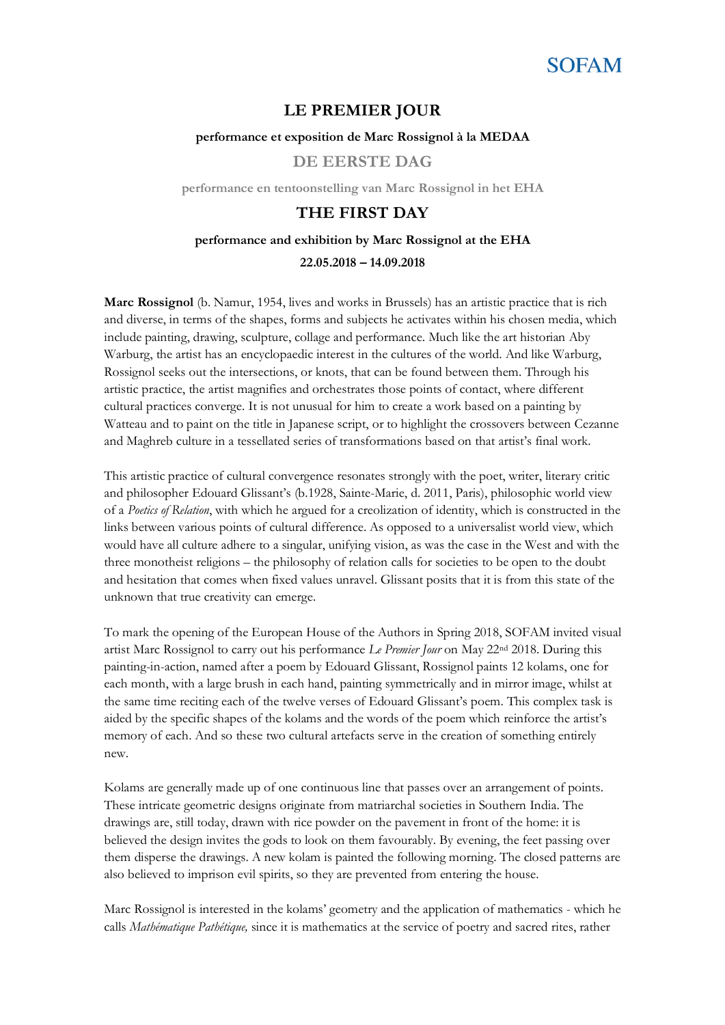

### **LE PREMIER JOUR**

#### **performance et exposition de Marc Rossignol à la MEDAA**

**DE EERSTE DAG**

**performance en tentoonstelling van Marc Rossignol in het EHA**

### **THE FIRST DAY**

## **performance and exhibition by Marc Rossignol at the EHA 22.05.2018 – 14.09.2018**

**Marc Rossignol** (b. Namur, 1954, lives and works in Brussels) has an artistic practice that is rich and diverse, in terms of the shapes, forms and subjects he activates within his chosen media, which include painting, drawing, sculpture, collage and performance. Much like the art historian Aby Warburg, the artist has an encyclopaedic interest in the cultures of the world. And like Warburg, Rossignol seeks out the intersections, or knots, that can be found between them. Through his artistic practice, the artist magnifies and orchestrates those points of contact, where different cultural practices converge. It is not unusual for him to create a work based on a painting by Watteau and to paint on the title in Japanese script, or to highlight the crossovers between Cezanne and Maghreb culture in a tessellated series of transformations based on that artist's final work.

This artistic practice of cultural convergence resonates strongly with the poet, writer, literary critic and philosopher Edouard Glissant's (b.1928, Sainte-Marie, d. 2011, Paris), philosophic world view of a *Poetics of Relation*, with which he argued for a creolization of identity, which is constructed in the links between various points of cultural difference. As opposed to a universalist world view, which would have all culture adhere to a singular, unifying vision, as was the case in the West and with the three monotheist religions – the philosophy of relation calls for societies to be open to the doubt and hesitation that comes when fixed values unravel. Glissant posits that it is from this state of the unknown that true creativity can emerge.

To mark the opening of the European House of the Authors in Spring 2018, SOFAM invited visual artist Marc Rossignol to carry out his performance *Le Premier Jour* on May 22nd 2018. During this painting-in-action, named after a poem by Edouard Glissant, Rossignol paints 12 kolams, one for each month, with a large brush in each hand, painting symmetrically and in mirror image, whilst at the same time reciting each of the twelve verses of Edouard Glissant's poem. This complex task is aided by the specific shapes of the kolams and the words of the poem which reinforce the artist's memory of each. And so these two cultural artefacts serve in the creation of something entirely new.

Kolams are generally made up of one continuous line that passes over an arrangement of points. These intricate geometric designs originate from matriarchal societies in Southern India. The drawings are, still today, drawn with rice powder on the pavement in front of the home: it is believed the design invites the gods to look on them favourably. By evening, the feet passing over them disperse the drawings. A new kolam is painted the following morning. The closed patterns are also believed to imprison evil spirits, so they are prevented from entering the house.

Marc Rossignol is interested in the kolams' geometry and the application of mathematics - which he calls *Mathématique Pathétique,* since it is mathematics at the service of poetry and sacred rites, rather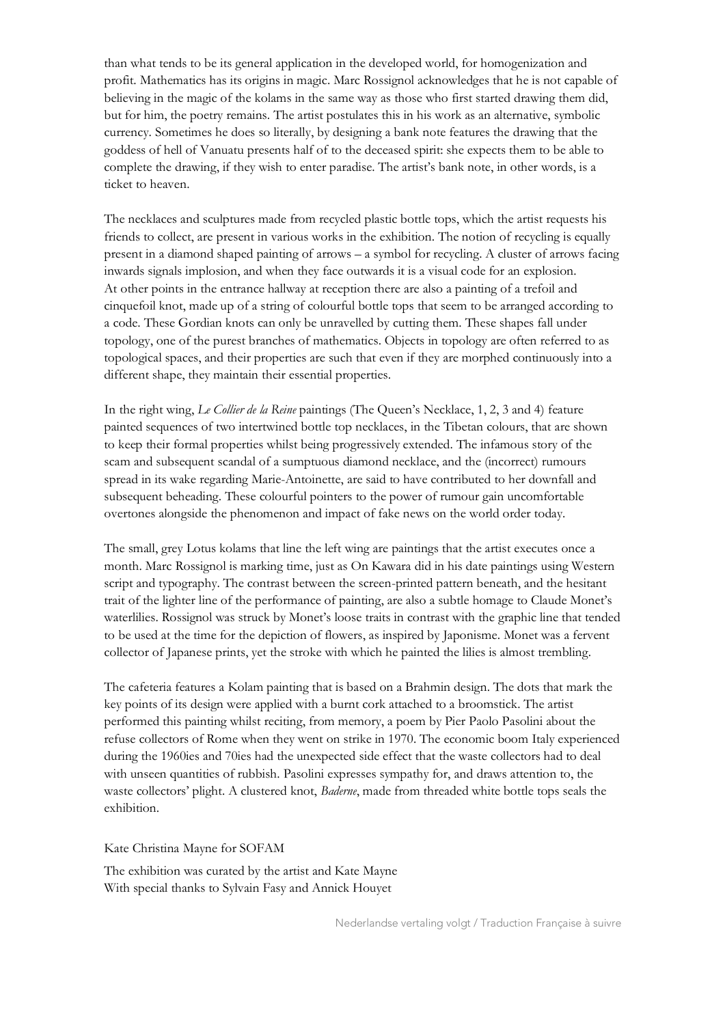than what tends to be its general application in the developed world, for homogenization and profit. Mathematics has its origins in magic. Marc Rossignol acknowledges that he is not capable of believing in the magic of the kolams in the same way as those who first started drawing them did, but for him, the poetry remains. The artist postulates this in his work as an alternative, symbolic currency. Sometimes he does so literally, by designing a bank note features the drawing that the goddess of hell of Vanuatu presents half of to the deceased spirit: she expects them to be able to complete the drawing, if they wish to enter paradise. The artist's bank note, in other words, is a ticket to heaven.

The necklaces and sculptures made from recycled plastic bottle tops, which the artist requests his friends to collect, are present in various works in the exhibition. The notion of recycling is equally present in a diamond shaped painting of arrows – a symbol for recycling. A cluster of arrows facing inwards signals implosion, and when they face outwards it is a visual code for an explosion. At other points in the entrance hallway at reception there are also a painting of a trefoil and cinquefoil knot, made up of a string of colourful bottle tops that seem to be arranged according to a code. These Gordian knots can only be unravelled by cutting them. These shapes fall under topology, one of the purest branches of mathematics. Objects in topology are often referred to as topological spaces, and their properties are such that even if they are morphed continuously into a different shape, they maintain their essential properties.

In the right wing, *Le Collier de la Reine* paintings (The Queen's Necklace, 1, 2, 3 and 4) feature painted sequences of two intertwined bottle top necklaces, in the Tibetan colours, that are shown to keep their formal properties whilst being progressively extended. The infamous story of the scam and subsequent scandal of a sumptuous diamond necklace, and the (incorrect) rumours spread in its wake regarding Marie-Antoinette, are said to have contributed to her downfall and subsequent beheading. These colourful pointers to the power of rumour gain uncomfortable overtones alongside the phenomenon and impact of fake news on the world order today.

The small, grey Lotus kolams that line the left wing are paintings that the artist executes once a month. Marc Rossignol is marking time, just as On Kawara did in his date paintings using Western script and typography. The contrast between the screen-printed pattern beneath, and the hesitant trait of the lighter line of the performance of painting, are also a subtle homage to Claude Monet's waterlilies. Rossignol was struck by Monet's loose traits in contrast with the graphic line that tended to be used at the time for the depiction of flowers, as inspired by Japonisme. Monet was a fervent collector of Japanese prints, yet the stroke with which he painted the lilies is almost trembling.

The cafeteria features a Kolam painting that is based on a Brahmin design. The dots that mark the key points of its design were applied with a burnt cork attached to a broomstick. The artist performed this painting whilst reciting, from memory, a poem by Pier Paolo Pasolini about the refuse collectors of Rome when they went on strike in 1970. The economic boom Italy experienced during the 1960ies and 70ies had the unexpected side effect that the waste collectors had to deal with unseen quantities of rubbish. Pasolini expresses sympathy for, and draws attention to, the waste collectors' plight. A clustered knot, *Baderne*, made from threaded white bottle tops seals the exhibition.

Kate Christina Mayne for SOFAM

The exhibition was curated by the artist and Kate Mayne With special thanks to Sylvain Fasy and Annick Houyet